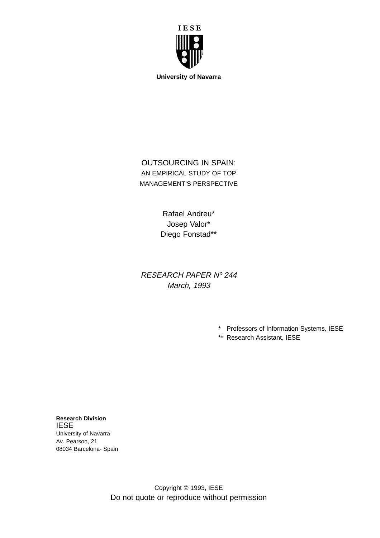

OUTSOURCING IN SPAIN: AN EMPIRICAL STUDY OF TOP MANAGEMENT'S PERSPECTIVE

> Rafael Andreu\* Josep Valor\* Diego Fonstad\*\*

RESEARCH PAPER Nº 244 March, 1993

- \* Professors of Information Systems, IESE
- \*\* Research Assistant, IESE

**Research Division** IESE University of Navarra Av. Pearson, 21 08034 Barcelona- Spain

> Copyright © 1993, IESE Do not quote or reproduce without permission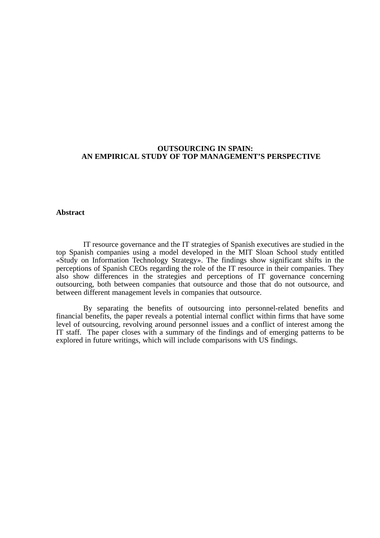## **OUTSOURCING IN SPAIN: AN EMPIRICAL STUDY OF TOP MANAGEMENT'S PERSPECTIVE**

## **Abstract**

IT resource governance and the IT strategies of Spanish executives are studied in the top Spanish companies using a model developed in the MIT Sloan School study entitled «Study on Information Technology Strategy». The findings show significant shifts in the perceptions of Spanish CEOs regarding the role of the IT resource in their companies. They also show differences in the strategies and perceptions of IT governance concerning outsourcing, both between companies that outsource and those that do not outsource, and between different management levels in companies that outsource.

By separating the benefits of outsourcing into personnel-related benefits and financial benefits, the paper reveals a potential internal conflict within firms that have some level of outsourcing, revolving around personnel issues and a conflict of interest among the IT staff. The paper closes with a summary of the findings and of emerging patterns to be explored in future writings, which will include comparisons with US findings.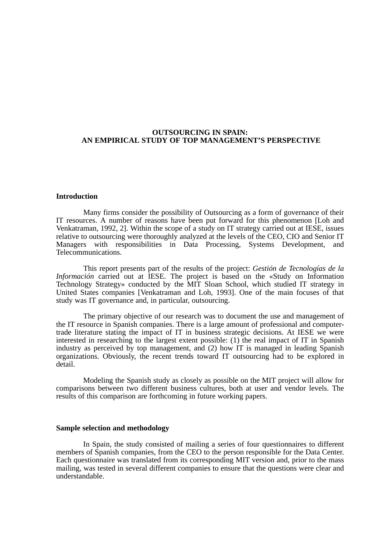# **OUTSOURCING IN SPAIN: AN EMPIRICAL STUDY OF TOP MANAGEMENT'S PERSPECTIVE**

### **Introduction**

Many firms consider the possibility of Outsourcing as a form of governance of their IT resources. A number of reasons have been put forward for this phenomenon [Loh and Venkatraman, 1992, 2]. Within the scope of a study on IT strategy carried out at IESE, issues relative to outsourcing were thoroughly analyzed at the levels of the CEO, CIO and Senior IT Managers with responsibilities in Data Processing, Systems Development, and Telecommunications.

This report presents part of the results of the project: *Gestión de Tecnologías de la Información* carried out at IESE. The project is based on the «Study on Information Technology Strategy» conducted by the MIT Sloan School, which studied IT strategy in United States companies [Venkatraman and Loh, 1993]. One of the main focuses of that study was IT governance and, in particular, outsourcing.

The primary objective of our research was to document the use and management of the IT resource in Spanish companies. There is a large amount of professional and computertrade literature stating the impact of IT in business strategic decisions. At IESE we were interested in researching to the largest extent possible: (1) the real impact of IT in Spanish industry as perceived by top management, and (2) how IT is managed in leading Spanish organizations. Obviously, the recent trends toward IT outsourcing had to be explored in detail.

Modeling the Spanish study as closely as possible on the MIT project will allow for comparisons between two different business cultures, both at user and vendor levels. The results of this comparison are forthcoming in future working papers.

#### **Sample selection and methodology**

In Spain, the study consisted of mailing a series of four questionnaires to different members of Spanish companies, from the CEO to the person responsible for the Data Center. Each questionnaire was translated from its corresponding MIT version and, prior to the mass mailing, was tested in several different companies to ensure that the questions were clear and understandable.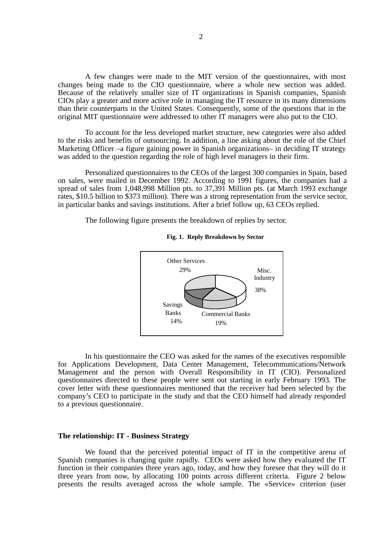A few changes were made to the MIT version of the questionnaires, with most changes being made to the CIO questionnaire, where a whole new section was added. Because of the relatively smaller size of IT organizations in Spanish companies, Spanish CIOs play a greater and more active role in managing the IT resource in its many dimensions than their counterparts in the United States. Consequently, some of the questions that in the original MIT questionnaire were addressed to other IT managers were also put to the CIO.

To account for the less developed market structure, new categories were also added to the risks and benefits of outsourcing. In addition, a line asking about the role of the Chief Marketing Officer –a figure gaining power in Spanish organizations– in deciding IT strategy was added to the question regarding the role of high level managers in their firm.

Personalized questionnaires to the CEOs of the largest 300 companies in Spain, based on sales, were mailed in December 1992. According to 1991 figures, the companies had a spread of sales from 1,048,998 Million pts. to 37,391 Million pts. (at March 1993 exchange rates, \$10.5 billion to \$373 million). There was a strong representation from the service sector, in particular banks and savings institutions. After a brief follow up, 63 CEOs replied.

The following figure presents the breakdown of replies by sector.





In his questionnaire the CEO was asked for the names of the executives responsible for Applications Development, Data Center Management, Telecommunications/Network Management and the person with Overall Responsibility in IT (CIO). Personalized questionnaires directed to these people were sent out starting in early February 1993. The cover letter with these questionnaires mentioned that the receiver had been selected by the company's CEO to participate in the study and that the CEO himself had already responded to a previous questionnaire.

## **The relationship: IT - Business Strategy**

We found that the perceived potential impact of IT in the competitive arena of Spanish companies is changing quite rapidly. CEOs were asked how they evaluated the IT function in their companies three years ago, today, and how they foresee that they will do it three years from now, by allocating 100 points across different criteria. Figure 2 below presents the results averaged across the whole sample. The «Service» criterion (user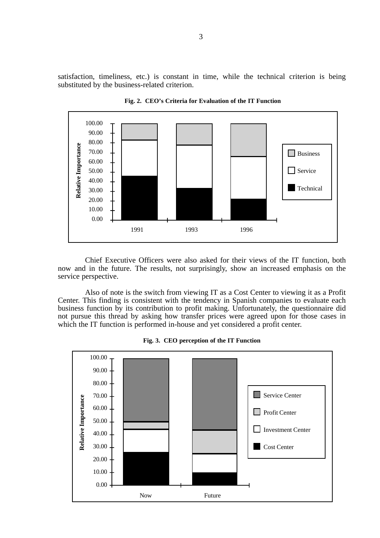satisfaction, timeliness, etc.) is constant in time, while the technical criterion is being substituted by the business-related criterion.



**Fig. 2. CEO's Criteria for Evaluation of the IT Function**

Chief Executive Officers were also asked for their views of the IT function, both now and in the future. The results, not surprisingly, show an increased emphasis on the service perspective.

Also of note is the switch from viewing IT as a Cost Center to viewing it as a Profit Center. This finding is consistent with the tendency in Spanish companies to evaluate each business function by its contribution to profit making. Unfortunately, the questionnaire did not pursue this thread by asking how transfer prices were agreed upon for those cases in which the IT function is performed in-house and yet considered a profit center.



**Fig. 3. CEO perception of the IT Function**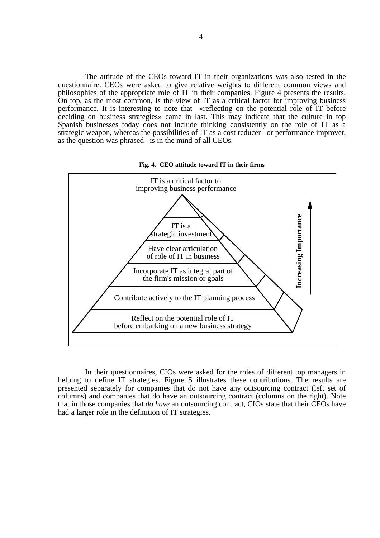The attitude of the CEOs toward IT in their organizations was also tested in the questionnaire. CEOs were asked to give relative weights to different common views and philosophies of the appropriate role of IT in their companies. Figure 4 presents the results. On top, as the most common, is the view of IT as a critical factor for improving business performance. It is interesting to note that «reflecting on the potential role of IT before deciding on business strategies» came in last. This may indicate that the culture in top Spanish businesses today does not include thinking consistently on the role of IT as a strategic weapon, whereas the possibilities of IT as a cost reducer –or performance improver, as the question was phrased– is in the mind of all CEOs.





In their questionnaires, CIOs were asked for the roles of different top managers in helping to define IT strategies. Figure 5 illustrates these contributions. The results are presented separately for companies that do not have any outsourcing contract (left set of columns) and companies that do have an outsourcing contract (columns on the right). Note that in those companies that *do have* an outsourcing contract, CIOs state that their CEOs have had a larger role in the definition of IT strategies.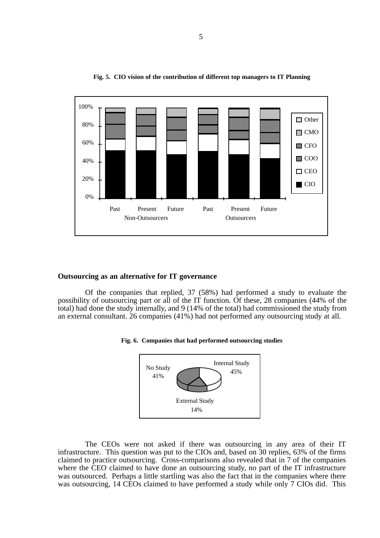

**Fig. 5. CIO vision of the contribution of different top managers to IT Planning**

## **Outsourcing as an alternative for IT governance**

Of the companies that replied, 37 (58%) had performed a study to evaluate the possibility of outsourcing part or all of the IT function. Of these, 28 companies (44% of the total) had done the study internally, and 9 (14% of the total) had commissioned the study from an external consultant. 26 companies (41%) had not performed any outsourcing study at all.





The CEOs were not asked if there was outsourcing in any area of their IT infrastructure. This question was put to the CIOs and, based on 30 replies, 63% of the firms claimed to practice outsourcing. Cross-comparisons also revealed that in 7 of the companies where the CEO claimed to have done an outsourcing study, no part of the IT infrastructure was outsourced. Perhaps a little startling was also the fact that in the companies where there was outsourcing, 14 CEOs claimed to have performed a study while only 7 CIOs did. This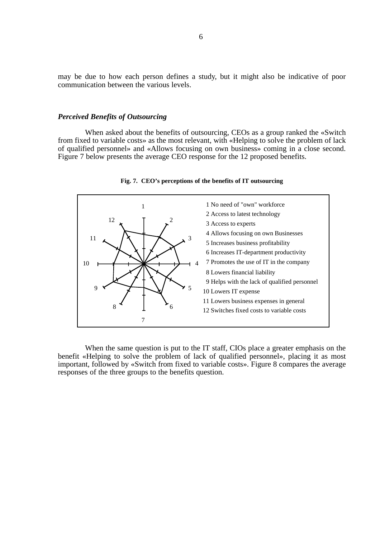may be due to how each person defines a study, but it might also be indicative of poor communication between the various levels.

## *Perceived Benefits of Outsourcing*

When asked about the benefits of outsourcing, CEOs as a group ranked the «Switch from fixed to variable costs» as the most relevant, with «Helping to solve the problem of lack of qualified personnel» and «Allows focusing on own business» coming in a close second. Figure 7 below presents the average CEO response for the 12 proposed benefits.



#### **Fig. 7. CEO's perceptions of the benefits of IT outsourcing**

When the same question is put to the IT staff, CIOs place a greater emphasis on the benefit «Helping to solve the problem of lack of qualified personnel», placing it as most important, followed by «Switch from fixed to variable costs». Figure 8 compares the average responses of the three groups to the benefits question.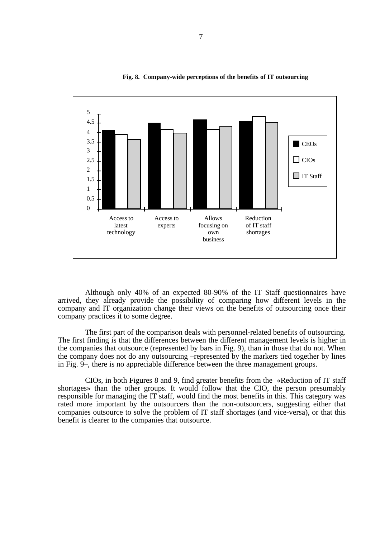

**Fig. 8. Company-wide perceptions of the benefits of IT outsourcing**

Although only 40% of an expected 80-90% of the IT Staff questionnaires have arrived, they already provide the possibility of comparing how different levels in the company and IT organization change their views on the benefits of outsourcing once their company practices it to some degree.

The first part of the comparison deals with personnel-related benefits of outsourcing. The first finding is that the differences between the different management levels is higher in the companies that outsource (represented by bars in Fig. 9), than in those that do not. When the company does not do any outsourcing –represented by the markers tied together by lines in Fig. 9–, there is no appreciable difference between the three management groups.

CIOs, in both Figures 8 and 9, find greater benefits from the «Reduction of IT staff shortages» than the other groups. It would follow that the CIO, the person presumably responsible for managing the IT staff, would find the most benefits in this. This category was rated more important by the outsourcers than the non-outsourcers, suggesting either that companies outsource to solve the problem of IT staff shortages (and vice-versa), or that this benefit is clearer to the companies that outsource.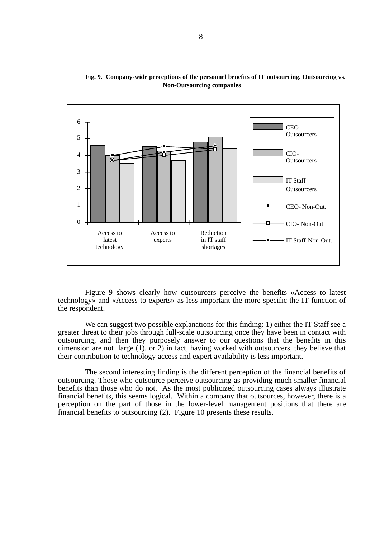

**Fig. 9. Company-wide perceptions of the personnel benefits of IT outsourcing. Outsourcing vs. Non-Outsourcing companies**

Figure 9 shows clearly how outsourcers perceive the benefits «Access to latest technology» and «Access to experts» as less important the more specific the IT function of the respondent.

We can suggest two possible explanations for this finding: 1) either the IT Staff see a greater threat to their jobs through full-scale outsourcing once they have been in contact with outsourcing, and then they purposely answer to our questions that the benefits in this dimension are not large (1), or 2) in fact, having worked with outsourcers, they believe that their contribution to technology access and expert availability is less important.

The second interesting finding is the different perception of the financial benefits of outsourcing. Those who outsource perceive outsourcing as providing much smaller financial benefits than those who do not. As the most publicized outsourcing cases always illustrate financial benefits, this seems logical. Within a company that outsources, however, there is a perception on the part of those in the lower-level management positions that there are financial benefits to outsourcing (2). Figure 10 presents these results.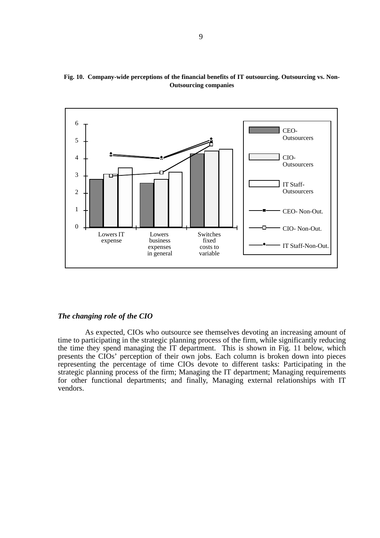

**Fig. 10. Company-wide perceptions of the financial benefits of IT outsourcing. Outsourcing vs. Non-Outsourcing companies**

## *The changing role of the CIO*

As expected, CIOs who outsource see themselves devoting an increasing amount of time to participating in the strategic planning process of the firm, while significantly reducing the time to paracepaing in the strategic planning process of the firm, while significantly reddeng the time they spend managing the IT department. This is shown in Fig. 11 below, which presents the CIOs' perception of their own jobs. Each column is broken down into pieces representing the percentage of time CIOs devote to different tasks: Participating in the strategic planning process of the firm; Managing the IT department; Managing requirements for other functional departments; and finally, Managing external relationships with IT vendors.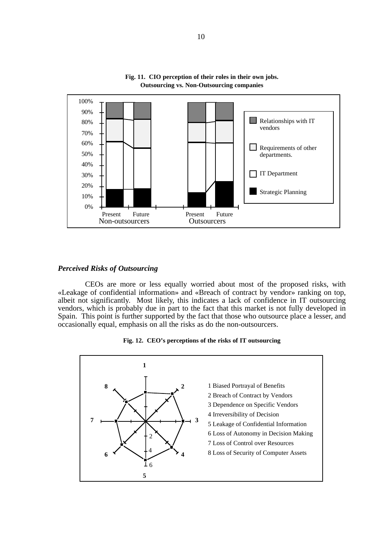

**Fig. 11. CIO perception of their roles in their own jobs. Outsourcing vs. Non-Outsourcing companies**

## *Perceived Risks of Outsourcing*

CEOs are more or less equally worried about most of the proposed risks, with «Leakage of confidential information» and «Breach of contract by vendor» ranking on top, albeit not significantly. Most likely, this indicates a lack of confidence in IT outsourcing vendors, which is probably due in part to the fact that this market is not fully developed in Spain. This point is further supported by the fact that those who outsource place a lesser, and occasionally equal, emphasis on all the risks as do the non-outsourcers.



**Fig. 12. CEO's perceptions of the risks of IT outsourcing**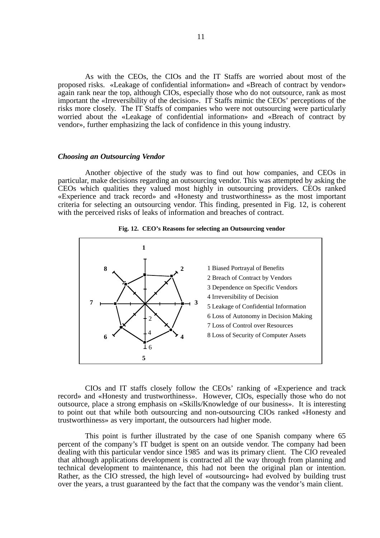As with the CEOs, the CIOs and the IT Staffs are worried about most of the proposed risks. «Leakage of confidential information» and «Breach of contract by vendor» again rank near the top, although CIOs, especially those who do not outsource, rank as most important the «Irreversibility of the decision». IT Staffs mimic the CEOs' perceptions of the risks more closely. The IT Staffs of companies who were not outsourcing were particularly worried about the «Leakage of confidential information» and «Breach of contract by vendor», further emphasizing the lack of confidence in this young industry.

### *Choosing an Outsourcing Vendor*

Another objective of the study was to find out how companies, and CEOs in particular, make decisions regarding an outsourcing vendor. This was attempted by asking the CEOs which qualities they valued most highly in outsourcing providers. CEOs ranked «Experience and track record» and «Honesty and trustworthiness» as the most important criteria for selecting an outsourcing vendor. This finding, presented in Fig. 12, is coherent with the perceived risks of leaks of information and breaches of contract.





CIOs and IT staffs closely follow the CEOs' ranking of «Experience and track record» and «Honesty and trustworthiness». However, CIOs, especially those who do not outsource, place a strong emphasis on «Skills/Knowledge of our business». It is interesting to point out that while both outsourcing and non-outsourcing CIOs ranked «Honesty and trustworthiness» as very important, the outsourcers had higher mode.

This point is further illustrated by the case of one Spanish company where 65 percent of the company's IT budget is spent on an outside vendor. The company had been dealing with this particular vendor since 1985 and was its primary client. The CIO revealed that although applications development is contracted all the way through from planning and technical development to maintenance, this had not been the original plan or intention. Rather, as the CIO stressed, the high level of «outsourcing» had evolved by building trust over the years, a trust guaranteed by the fact that the company was the vendor's main client.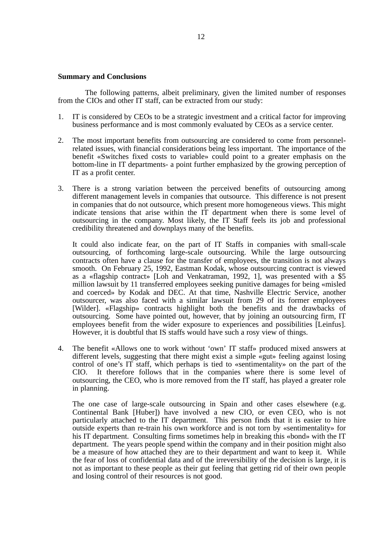## **Summary and Conclusions**

The following patterns, albeit preliminary, given the limited number of responses from the CIOs and other IT staff, can be extracted from our study:

- 1. IT is considered by CEOs to be a strategic investment and a critical factor for improving business performance and is most commonly evaluated by CEOs as a service center.
- 2. The most important benefits from outsourcing are considered to come from personnelrelated issues, with financial considerations being less important. The importance of the benefit «Switches fixed costs to variable» could point to a greater emphasis on the bottom-line in IT departments- a point further emphasized by the growing perception of IT as a profit center.
- 3. There is a strong variation between the perceived benefits of outsourcing among different management levels in companies that outsource. This difference is not present in companies that do not outsource, which present more homogeneous views. This might indicate tensions that arise within the IT department when there is some level of outsourcing in the company. Most likely, the IT Staff feels its job and professional credibility threatened and downplays many of the benefits.

It could also indicate fear, on the part of IT Staffs in companies with small-scale outsourcing, of forthcoming large-scale outsourcing. While the large outsourcing contracts often have a clause for the transfer of employees, the transition is not always smooth. On February 25, 1992, Eastman Kodak, whose outsourcing contract is viewed as a «flagship contract» [Loh and Venkatraman, 1992, 1], was presented with a \$5 million lawsuit by 11 transferred employees seeking punitive damages for being «misled and coerced» by Kodak and DEC. At that time, Nashville Electric Service, another outsourcer, was also faced with a similar lawsuit from 29 of its former employees [Wilder]. «Flagship» contracts highlight both the benefits and the drawbacks of outsourcing. Some have pointed out, however, that by joining an outsourcing firm, IT employees benefit from the wider exposure to experiences and possibilities [Leinfus]. However, it is doubtful that IS staffs would have such a rosy view of things.

4. The benefit «Allows one to work without 'own' IT staff» produced mixed answers at different levels, suggesting that there might exist a simple «gut» feeling against losing control of one's IT staff, which perhaps is tied to «sentimentality» on the part of the CIO. It therefore follows that in the companies where there is some level of outsourcing, the CEO, who is more removed from the IT staff, has played a greater role in planning.

The one case of large-scale outsourcing in Spain and other cases elsewhere (e.g. Continental Bank [Huber]) have involved a new CIO, or even CEO, who is not particularly attached to the IT department. This person finds that it is easier to hire outside experts than re-train his own workforce and is not torn by «sentimentality» for his IT department. Consulting firms sometimes help in breaking this «bond» with the IT department. The years people spend within the company and in their position might also be a measure of how attached they are to their department and want to keep it. While the fear of loss of confidential data and of the irreversibility of the decision is large, it is not as important to these people as their gut feeling that getting rid of their own people and losing control of their resources is not good.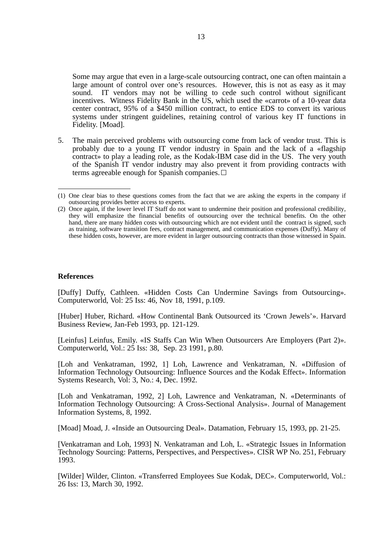Some may argue that even in a large-scale outsourcing contract, one can often maintain a large amount of control over one's resources. However, this is not as easy as it may sound. IT vendors may not be willing to cede such control without significant incentives. Witness Fidelity Bank in the US, which used the «carrot» of a 10-year data center contract, 95% of a \$450 million contract, to entice EDS to convert its various systems under stringent guidelines, retaining control of various key IT functions in Fidelity. [Moad].

5. The main perceived problems with outsourcing come from lack of vendor trust. This is probably due to a young IT vendor industry in Spain and the lack of a «flagship contract» to play a leading role, as the Kodak-IBM case did in the US. The very youth of the Spanish IT vendor industry may also prevent it from providing contracts with terms agreeable enough for Spanish companies.

## **References**

[Duffy] Duffy, Cathleen. «Hidden Costs Can Undermine Savings from Outsourcing». Computerworld, Vol: 25 Iss: 46, Nov 18, 1991, p.109.

[Huber] Huber, Richard. «How Continental Bank Outsourced its 'Crown Jewels'». Harvard Business Review, Jan-Feb 1993, pp. 121-129.

[Leinfus] Leinfus, Emily. «IS Staffs Can Win When Outsourcers Are Employers (Part 2)». Computerworld, Vol.: 25 Iss: 38, Sep. 23 1991, p.80.

[Loh and Venkatraman, 1992, 1] Loh, Lawrence and Venkatraman, N. «Diffusion of Information Technology Outsourcing: Influence Sources and the Kodak Effect». Information Systems Research, Vol: 3, No.: 4, Dec. 1992.

[Loh and Venkatraman, 1992, 2] Loh, Lawrence and Venkatraman, N. «Determinants of Information Technology Outsourcing: A Cross-Sectional Analysis». Journal of Management Information Systems, 8, 1992.

[Moad] Moad, J. «Inside an Outsourcing Deal». Datamation, February 15, 1993, pp. 21-25.

[Venkatraman and Loh, 1993] N. Venkatraman and Loh, L. «Strategic Issues in Information Technology Sourcing: Patterns, Perspectives, and Perspectives». CISR WP No. 251, February 1993.

[Wilder] Wilder, Clinton. «Transferred Employees Sue Kodak, DEC». Computerworld, Vol.: 26 Iss: 13, March 30, 1992.

<sup>(1)</sup> One clear bias to these questions comes from the fact that we are asking the experts in the company if outsourcing provides better access to experts.

<sup>(2)</sup> Once again, if the lower level IT Staff do not want to undermine their position and professional credibility, they will emphasize the financial benefits of outsourcing over the technical benefits. On the other hand, there are many hidden costs with outsourcing which are not evident until the contract is signed, such as training, software transition fees, contract management, and communication expenses (Duffy). Many of these hidden costs, however, are more evident in larger outsourcing contracts than those witnessed in Spain.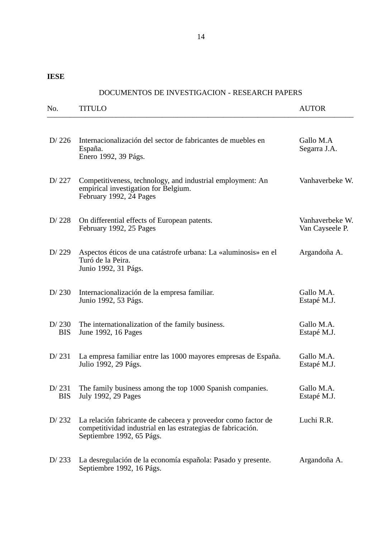**IESE**

# DOCUMENTOS DE INVESTIGACION - RESEARCH PAPERS

| No.                 | <b>TITULO</b>                                                                                                                                              | <b>AUTOR</b>                       |
|---------------------|------------------------------------------------------------------------------------------------------------------------------------------------------------|------------------------------------|
| D $/226$            | Internacionalización del sector de fabricantes de muebles en<br>España.<br>Enero 1992, 39 Págs.                                                            | Gallo M.A<br>Segarra J.A.          |
| D/227               | Competitiveness, technology, and industrial employment: An<br>empirical investigation for Belgium.<br>February 1992, 24 Pages                              | Vanhaverbeke W.                    |
| D/228               | On differential effects of European patents.<br>February 1992, 25 Pages                                                                                    | Vanhaverbeke W.<br>Van Cayseele P. |
| D/229               | Aspectos éticos de una catástrofe urbana: La «aluminosis» en el<br>Turó de la Peira.<br>Junio 1992, 31 Págs.                                               | Argandoña A.                       |
| D/230               | Internacionalización de la empresa familiar.<br>Junio 1992, 53 Págs.                                                                                       | Gallo M.A.<br>Estapé M.J.          |
| D/230<br><b>BIS</b> | The internationalization of the family business.<br>June 1992, 16 Pages                                                                                    | Gallo M.A.<br>Estapé M.J.          |
| D/231               | La empresa familiar entre las 1000 mayores empresas de España.<br>Julio 1992, 29 Págs.                                                                     | Gallo M.A.<br>Estapé M.J.          |
| D/231<br><b>BIS</b> | The family business among the top 1000 Spanish companies.<br>July 1992, 29 Pages                                                                           | Gallo M.A.<br>Estapé M.J.          |
| D/232               | La relación fabricante de cabecera y proveedor como factor de<br>competitividad industrial en las estrategias de fabricación.<br>Septiembre 1992, 65 Págs. | Luchi R.R.                         |
| D/233               | La desregulación de la economía española: Pasado y presente.<br>Septiembre 1992, 16 Págs.                                                                  | Argandoña A.                       |